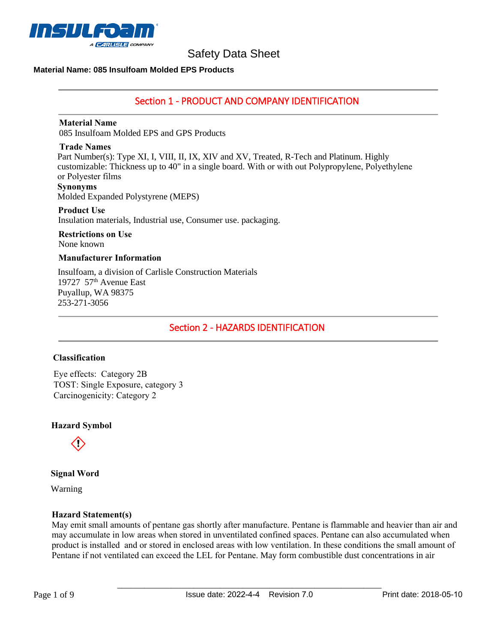

## **Material Name: 085 Insulfoam Molded EPS Products**

# Section 1 - PRODUCT AND COMPANY IDENTIFICATION

#### **Material Name**

085 Insulfoam Molded EPS and GPS Products

#### **Trade Names**

Part Number(s): Type XI, I, VIII, II, IX, XIV and XV, Treated, R-Tech and Platinum. Highly customizable: Thickness up to 40" in a single board. With or with out Polypropylene, Polyethylene or Polyester films **Synonyms**

Molded Expanded Polystyrene (MEPS)

## **Product Use**

Insulation materials, Industrial use, Consumer use. packaging.

#### **Restrictions on Use** None known

# **Manufacturer Information**

Insulfoam, a division of Carlisle Construction Materials 19727 57<sup>th</sup> Avenue East Puyallup, WA 98375 253-271-3056

Section 2 - HAZARDS IDENTIFICATION

## **Classification**

Eye effects: Category 2B TOST: Single Exposure, category 3 Carcinogenicity: Category 2

## **Hazard Symbol**



**Signal Word** 

Warning

## **Hazard Statement(s)**

May emit small amounts of pentane gas shortly after manufacture. Pentane is flammable and heavier than air and may accumulate in low areas when stored in unventilated confined spaces. Pentane can also accumulated when product is installed and or stored in enclosed areas with low ventilation. In these conditions the small amount of Pentane if not ventilated can exceed the LEL for Pentane. May form combustible dust concentrations in air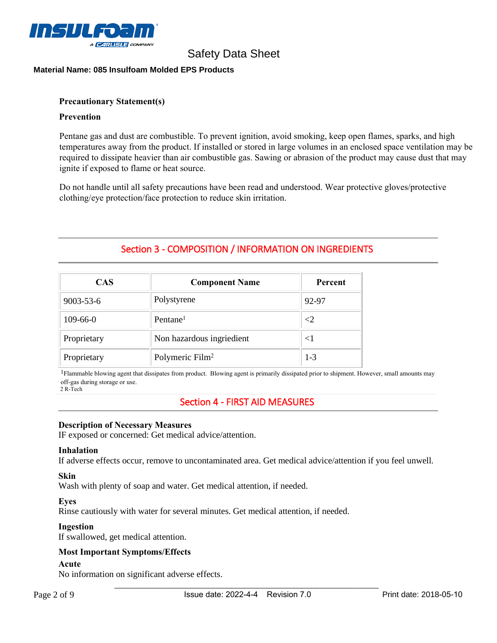

## **Material Name: 085 Insulfoam Molded EPS Products**

#### **Precautionary Statement(s)**

#### **Prevention**

Pentane gas and dust are combustible. To prevent ignition, avoid smoking, keep open flames, sparks, and high temperatures away from the product. If installed or stored in large volumes in an enclosed space ventilation may be required to dissipate heavier than air combustible gas. Sawing or abrasion of the product may cause dust that may ignite if exposed to flame or heat source.

Do not handle until all safety precautions have been read and understood. Wear protective gloves/protective clothing/eye protection/face protection to reduce skin irritation.

# Section 3 - COMPOSITION / INFORMATION ON INGREDIENTS

| <b>CAS</b>  | <b>Component Name</b>       | Percent |
|-------------|-----------------------------|---------|
| 9003-53-6   | Polystyrene                 | 92-97   |
| $109-66-0$  | Pentane <sup>1</sup>        | ${<}2$  |
| Proprietary | Non hazardous ingriedient   | $<$ 1   |
| Proprietary | Polymeric Film <sup>2</sup> | $1 - 3$ |

<sup>1</sup>Flammable blowing agent that dissipates from product. Blowing agent is primarily dissipated prior to shipment. However, small amounts may off-gas during storage or use.

2 R-Tech

# Section 4 - FIRST AID MEASURES

#### **Description of Necessary Measures**

IF exposed or concerned: Get medical advice/attention.

#### **Inhalation**

If adverse effects occur, remove to uncontaminated area. Get medical advice/attention if you feel unwell.

#### **Skin**

Wash with plenty of soap and water. Get medical attention, if needed.

#### **Eyes**

Rinse cautiously with water for several minutes. Get medical attention, if needed.

## **Ingestion**

If swallowed, get medical attention.

## **Most Important Symptoms/Effects**

#### **Acute**

No information on significant adverse effects.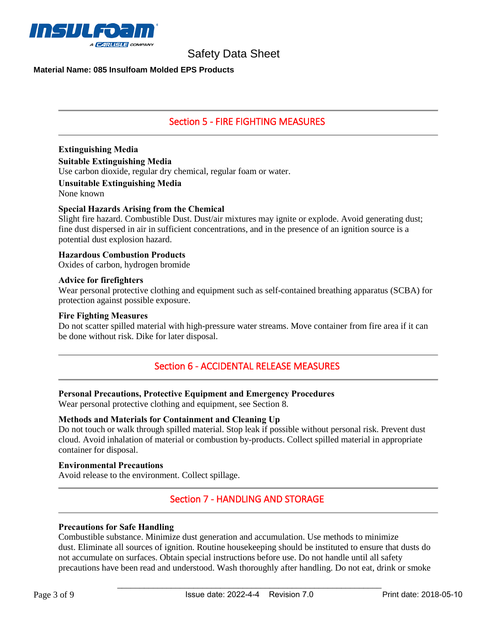

## **Material Name: 085 Insulfoam Molded EPS Products**

# Section 5 - FIRE FIGHTING MEASURES

**Extinguishing Media Suitable Extinguishing Media** 

Use carbon dioxide, regular dry chemical, regular foam or water.

**Unsuitable Extinguishing Media**

None known

# **Special Hazards Arising from the Chemical**

Slight fire hazard. Combustible Dust. Dust/air mixtures may ignite or explode. Avoid generating dust; fine dust dispersed in air in sufficient concentrations, and in the presence of an ignition source is a potential dust explosion hazard.

**Hazardous Combustion Products** 

Oxides of carbon, hydrogen bromide

#### **Advice for firefighters**

Wear personal protective clothing and equipment such as self-contained breathing apparatus (SCBA) for protection against possible exposure.

#### **Fire Fighting Measures**

Do not scatter spilled material with high-pressure water streams. Move container from fire area if it can be done without risk. Dike for later disposal.

# Section 6 - ACCIDENTAL RELEASE MEASURES

## **Personal Precautions, Protective Equipment and Emergency Procedures**

Wear personal protective clothing and equipment, see Section 8.

## **Methods and Materials for Containment and Cleaning Up**

Do not touch or walk through spilled material. Stop leak if possible without personal risk. Prevent dust cloud. Avoid inhalation of material or combustion by-products. Collect spilled material in appropriate container for disposal.

#### **Environmental Precautions**

Avoid release to the environment. Collect spillage.

# Section 7 - HANDLING AND STORAGE

## **Precautions for Safe Handling**

Combustible substance. Minimize dust generation and accumulation. Use methods to minimize dust. Eliminate all sources of ignition. Routine housekeeping should be instituted to ensure that dusts do not accumulate on surfaces. Obtain special instructions before use. Do not handle until all safety precautions have been read and understood. Wash thoroughly after handling. Do not eat, drink or smoke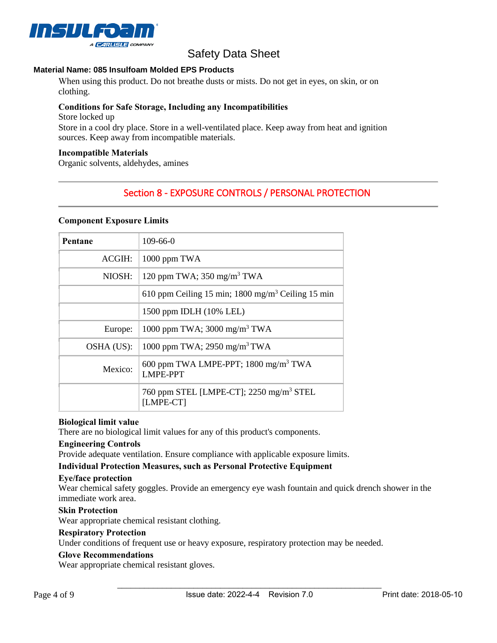

# **Material Name: 085 Insulfoam Molded EPS Products**

When using this product. Do not breathe dusts or mists. Do not get in eyes, on skin, or on clothing.

# **Conditions for Safe Storage, Including any Incompatibilities**

Store locked up

Store in a cool dry place. Store in a well-ventilated place. Keep away from heat and ignition sources. Keep away from incompatible materials.

## **Incompatible Materials**

Organic solvents, aldehydes, amines

# Section 8 - EXPOSURE CONTROLS / PERSONAL PROTECTION

## **Component Exposure Limits**

| Pentane    | $109 - 66 - 0$                                                      |
|------------|---------------------------------------------------------------------|
| ACGIH:     | 1000 ppm TWA                                                        |
| NIOSH:     | 120 ppm TWA; $350$ mg/m <sup>3</sup> TWA                            |
|            | 610 ppm Ceiling 15 min; 1800 mg/m <sup>3</sup> Ceiling 15 min       |
|            | 1500 ppm IDLH (10% LEL)                                             |
| Europe:    | 1000 ppm TWA; 3000 mg/m <sup>3</sup> TWA                            |
| OSHA (US): | 1000 ppm TWA; 2950 mg/m <sup>3</sup> TWA                            |
| Mexico:    | 600 ppm TWA LMPE-PPT; 1800 mg/m <sup>3</sup> TWA<br><b>LMPE-PPT</b> |
|            | 760 ppm STEL [LMPE-CT]; 2250 mg/m <sup>3</sup> STEL<br>[LMPE-CT]    |

## **Biological limit value**

There are no biological limit values for any of this product's components.

## **Engineering Controls**

Provide adequate ventilation. Ensure compliance with applicable exposure limits.

# **Individual Protection Measures, such as Personal Protective Equipment**

#### **Eye/face protection**

Wear chemical safety goggles. Provide an emergency eye wash fountain and quick drench shower in the immediate work area.

## **Skin Protection**

Wear appropriate chemical resistant clothing.

## **Respiratory Protection**

Under conditions of frequent use or heavy exposure, respiratory protection may be needed.

## **Glove Recommendations**

Wear appropriate chemical resistant gloves.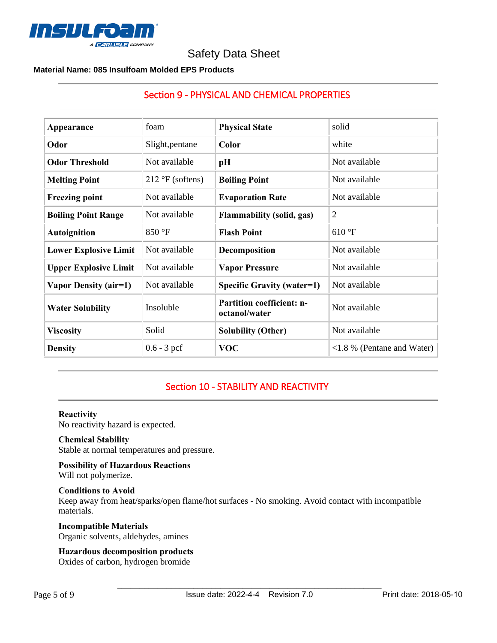

Section 9 - PHYSICAL AND CHEMICAL PROPERTIES

# **Material Name: 085 Insulfoam Molded EPS Products**

| Appearance                   | foam                      | <b>Physical State</b>                             | solid                                       |
|------------------------------|---------------------------|---------------------------------------------------|---------------------------------------------|
| Odor                         | Slight, pentane           | Color                                             | white                                       |
| <b>Odor Threshold</b>        | Not available             | pH                                                | Not available                               |
| <b>Melting Point</b>         | $212 \text{°F}$ (softens) | <b>Boiling Point</b>                              | Not available                               |
| <b>Freezing point</b>        | Not available             | <b>Evaporation Rate</b>                           | Not available                               |
| <b>Boiling Point Range</b>   | Not available             | <b>Flammability (solid, gas)</b>                  | $\overline{2}$                              |
| <b>Autoignition</b>          | 850 °F                    | <b>Flash Point</b>                                | 610 °F                                      |
| <b>Lower Explosive Limit</b> | Not available             | Decomposition                                     | Not available                               |
| <b>Upper Explosive Limit</b> | Not available             | <b>Vapor Pressure</b>                             | Not available                               |
| Vapor Density (air=1)        | Not available             | <b>Specific Gravity (water=1)</b>                 | Not available                               |
| <b>Water Solubility</b>      | Insoluble                 | <b>Partition coefficient: n-</b><br>octanol/water | Not available                               |
| <b>Viscosity</b>             | Solid                     | <b>Solubility (Other)</b>                         | Not available                               |
| <b>Density</b>               | $0.6 - 3$ pcf             | <b>VOC</b>                                        | $\langle 1.8 \rangle$ % (Pentane and Water) |

# Section 10 - STABILITY AND REACTIVITY

#### **Reactivity**

No reactivity hazard is expected.

# **Chemical Stability**

Stable at normal temperatures and pressure.

**Possibility of Hazardous Reactions** Will not polymerize.

# **Conditions to Avoid**

Keep away from heat/sparks/open flame/hot surfaces - No smoking. Avoid contact with incompatible materials.

#### **Incompatible Materials**  Organic solvents, aldehydes, amines

## **Hazardous decomposition products**

Oxides of carbon, hydrogen bromide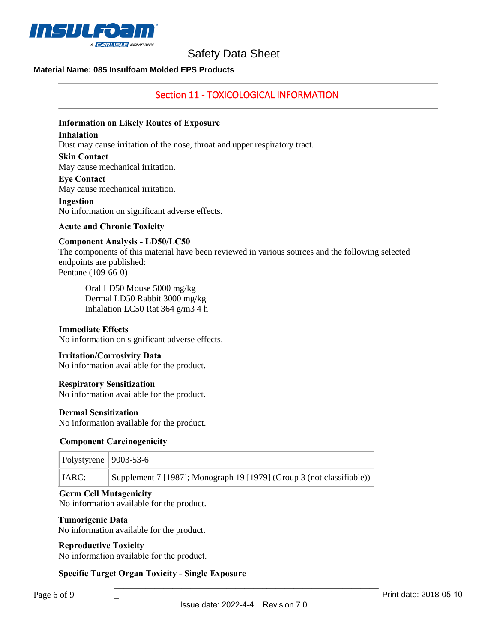

# **Material Name: 085 Insulfoam Molded EPS Products**

# Section 11 - TOXICOLOGICAL INFORMATION

## **Information on Likely Routes of Exposure**

#### **Inhalation**

Dust may cause irritation of the nose, throat and upper respiratory tract.

#### **Skin Contact**

May cause mechanical irritation.

#### **Eye Contact**

May cause mechanical irritation.

#### **Ingestion**

No information on significant adverse effects.

#### **Acute and Chronic Toxicity**

#### **Component Analysis - LD50/LC50**

The components of this material have been reviewed in various sources and the following selected endpoints are published: Pentane (109-66-0)

Oral LD50 Mouse 5000 mg/kg Dermal LD50 Rabbit 3000 mg/kg Inhalation LC50 Rat 364 g/m3 4 h

#### **Immediate Effects**

No information on significant adverse effects.

#### **Irritation/Corrosivity Data**

No information available for the product.

#### **Respiratory Sensitization**

No information available for the product.

#### **Dermal Sensitization**

No information available for the product.

#### **Component Carcinogenicity**

| Polystyrene   $9003-53-6$ |                                                                       |
|---------------------------|-----------------------------------------------------------------------|
| IARC:                     | Supplement 7 [1987]; Monograph 19 [1979] (Group 3 (not classifiable)) |

#### **Germ Cell Mutagenicity**

No information available for the product.

#### **Tumorigenic Data**

No information available for the product.

## **Reproductive Toxicity**

No information available for the product.

 $\overline{a}$ 

# **Specific Target Organ Toxicity - Single Exposure**

\_\_\_\_\_\_\_\_\_\_\_\_\_\_\_\_\_\_\_\_\_\_\_\_\_\_\_\_\_\_\_\_\_\_\_\_\_\_\_\_\_\_\_\_\_\_\_\_\_\_\_\_\_\_\_\_\_\_\_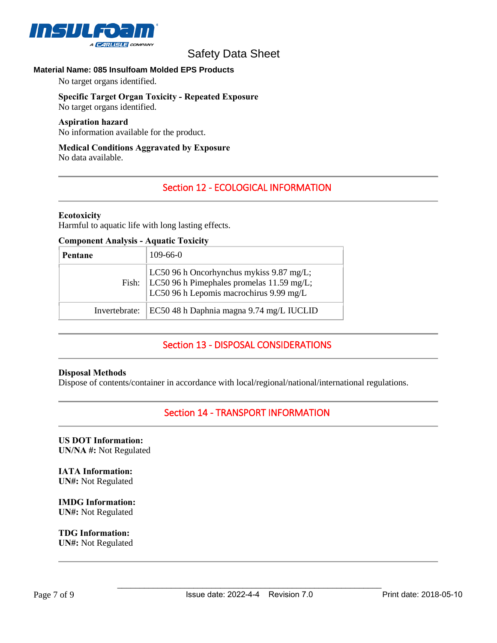

# **Material Name: 085 Insulfoam Molded EPS Products**

No target organs identified.

#### **Specific Target Organ Toxicity - Repeated Exposure** No target organs identified.

#### **Aspiration hazard**

No information available for the product.

# **Medical Conditions Aggravated by Exposure**

No data available.

# Section 12 - ECOLOGICAL INFORMATION

#### **Ecotoxicity**

Harmful to aquatic life with long lasting effects.

#### **Component Analysis - Aquatic Toxicity**

| Pentane       | $109-66-0$                                                                                                                               |
|---------------|------------------------------------------------------------------------------------------------------------------------------------------|
|               | LC50 96 h Oncorhynchus mykiss 9.87 mg/L;<br>Fish: $LC50$ 96 h Pimephales promelas 11.59 mg/L;<br>LC50 96 h Lepomis macrochirus 9.99 mg/L |
| Invertebrate: | EC50 48 h Daphnia magna 9.74 mg/L IUCLID                                                                                                 |

# Section 13 - DISPOSAL CONSIDERATIONS

#### **Disposal Methods**

Dispose of contents/container in accordance with local/regional/national/international regulations.

# Section 14 - TRANSPORT INFORMATION

**US DOT Information: UN/NA #:** Not Regulated

**IATA Information: UN#:** Not Regulated

**IMDG Information: UN#:** Not Regulated

**TDG Information: UN#:** Not Regulated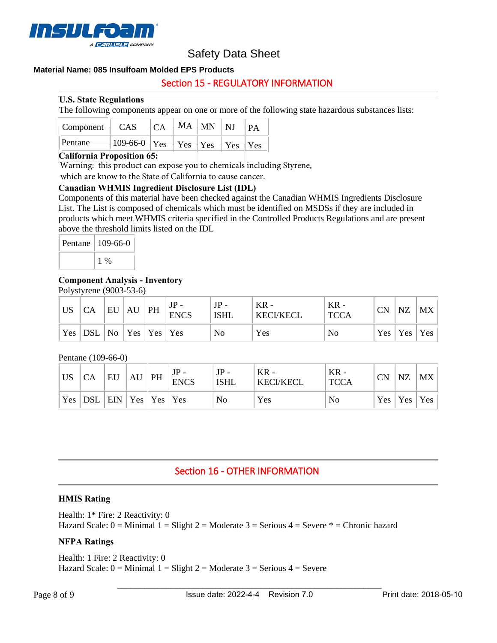

## **Material Name: 085 Insulfoam Molded EPS Products**

# Section 15 - REGULATORY INFORMATION

## **U.S. State Regulations**

The following components appear on one or more of the following state hazardous substances lists:

| $\vert$ Component $\vert$ CAS $\vert$ CA $\vert$ MA $\vert$ MN $\vert$ NJ $\vert$ PA |                                                                              |  |  |  |
|--------------------------------------------------------------------------------------|------------------------------------------------------------------------------|--|--|--|
| Pentane                                                                              | $-109-66-0$ $\text{Yes}$ $\text{Yes}$ $\text{Yes}$ $\text{Yes}$ $\text{Yes}$ |  |  |  |

# **California Proposition 65:**

Warning: this product can expose you to chemicals including Styrene,

which are know to the State of California to cause cancer.

#### **Canadian WHMIS Ingredient Disclosure List (IDL)**

Components of this material have been checked against the Canadian WHMIS Ingredients Disclosure List. The List is composed of chemicals which must be identified on MSDSs if they are included in products which meet WHMIS criteria specified in the Controlled Products Regulations and are present above the threshold limits listed on the IDL

| Pentane | 109-66-0 |  |  |
|---------|----------|--|--|
|         | $1\%$    |  |  |

## **Component Analysis - Inventory**

Polystyrene (9003-53-6)

| <b>US</b> | СA        | EU | AU | PH                                  | <b>ENCS</b> | JP<br>ISHL | $KR -$<br><b>KECI/KECL</b> | $KR -$<br><b>TCCA</b> | CN | NZ        | <b>MX</b> |
|-----------|-----------|----|----|-------------------------------------|-------------|------------|----------------------------|-----------------------|----|-----------|-----------|
|           | Yes   DSL | No |    | $\vert$ Yes $\vert$ Yes $\vert$ Yes |             | No         | Yes                        | No                    |    | Yes   Yes | Yes       |

#### Pentane (109-66-0)

| <b>US</b> | СA    | EU                 | AU | PH | <b>ENCS</b> | $JP -$<br><b>ISHL</b> | $KR -$<br><b>KECI/KECL</b> | $KR -$<br><b>TCCA</b> | СN | <b>NZ</b>           | <b>MX</b> |
|-----------|-------|--------------------|----|----|-------------|-----------------------|----------------------------|-----------------------|----|---------------------|-----------|
| Yes       | ' DSL | $ ENN Yes Yes Yes$ |    |    |             | No                    | Yes                        | No                    |    | $Yes \mid Yes \mid$ | Yes       |

# Section 16 - OTHER INFORMATION

#### **HMIS Rating**

Health: 1\* Fire: 2 Reactivity: 0 Hazard Scale:  $0 =$  Minimal  $1 =$  Slight  $2 =$  Moderate  $3 =$  Serious  $4 =$  Severe  $* =$  Chronic hazard

## **NFPA Ratings**

Health: 1 Fire: 2 Reactivity: 0 Hazard Scale:  $0 =$  Minimal  $1 =$  Slight  $2 =$  Moderate  $3 =$  Serious  $4 =$  Severe